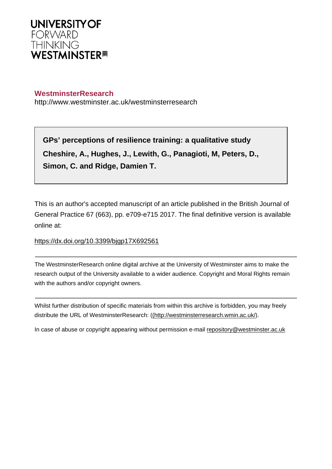

# **WestminsterResearch**

http://www.westminster.ac.uk/westminsterresearch

**GPs' perceptions of resilience training: a qualitative study Cheshire, A., Hughes, J., Lewith, G., Panagioti, M, Peters, D., Simon, C. and Ridge, Damien T.**

This is an author's accepted manuscript of an article published in the British Journal of General Practice 67 (663), pp. e709-e715 2017. The final definitive version is available online at:

## <https://dx.doi.org/10.3399/bjgp17X692561>

The WestminsterResearch online digital archive at the University of Westminster aims to make the research output of the University available to a wider audience. Copyright and Moral Rights remain with the authors and/or copyright owners.

Whilst further distribution of specific materials from within this archive is forbidden, you may freely distribute the URL of WestminsterResearch: [\(\(http://westminsterresearch.wmin.ac.uk/](http://westminsterresearch.wmin.ac.uk/)).

In case of abuse or copyright appearing without permission e-mail <repository@westminster.ac.uk>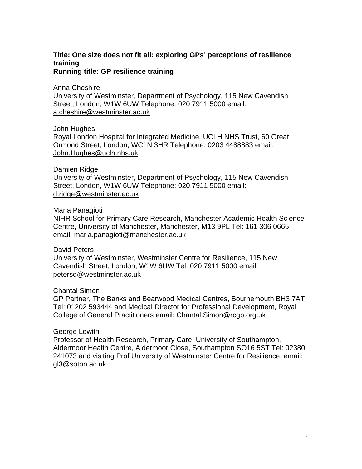# **Title: One size does not fit all: exploring GPs' perceptions of resilience training**

**Running title: GP resilience training**

Anna Cheshire

University of Westminster, Department of Psychology, 115 New Cavendish Street, London, W1W 6UW Telephone: 020 7911 5000 email: [a.cheshire@westminster.ac.uk](mailto:a.cheshire@westminster.ac.uk) 

John Hughes

Royal London Hospital for Integrated Medicine, UCLH NHS Trust, 60 Great Ormond Street, London, WC1N 3HR Telephone: 0203 4488883 email: [John.Hughes@uclh.nhs.uk](mailto:John.Hughes@uclh.nhs.uk)

#### Damien Ridge

University of Westminster, Department of Psychology, 115 New Cavendish Street, London, W1W 6UW Telephone: 020 7911 5000 email: [d.ridge@westminster.ac.uk](mailto:d.ridge@westminster.ac.uk) 

#### Maria Panagioti

NIHR School for Primary Care Research, Manchester Academic Health Science Centre, University of Manchester, Manchester, M13 9PL Tel: 161 306 0665 email: [maria.panagioti@manchester.ac.uk](mailto:maria.panagioti@manchester.ac.uk)

David Peters

University of Westminster, Westminster Centre for Resilience, 115 New Cavendish Street, London, W1W 6UW Tel: 020 7911 5000 email: [petersd@westminster.ac.uk](mailto:petersd@westminster.ac.uk)

#### Chantal Simon

GP Partner, The Banks and Bearwood Medical Centres, Bournemouth BH3 7AT Tel: 01202 593444 and Medical Director for Professional Development, Royal College of General Practitioners email: Chantal.Simon@rcgp.org.uk

#### George Lewith

Professor of Health Research, Primary Care, University of Southampton, Aldermoor Health Centre, Aldermoor Close, Southampton SO16 5ST Tel: 02380 241073 and visiting Prof University of Westminster Centre for Resilience. email: gl3@soton.ac.uk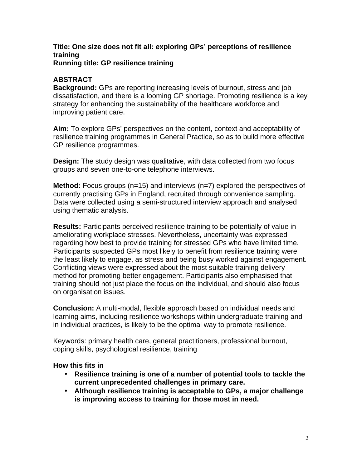#### **Title: One size does not fit all: exploring GPs' perceptions of resilience training Running title: GP resilience training**

## **ABSTRACT**

**Background:** GPs are reporting increasing levels of burnout, stress and job dissatisfaction, and there is a looming GP shortage. Promoting resilience is a key strategy for enhancing the sustainability of the healthcare workforce and improving patient care.

**Aim:** To explore GPs' perspectives on the content, context and acceptability of resilience training programmes in General Practice, so as to build more effective GP resilience programmes.

**Design:** The study design was qualitative, with data collected from two focus groups and seven one-to-one telephone interviews.

**Method:** Focus groups (n=15) and interviews (n=7) explored the perspectives of currently practising GPs in England, recruited through convenience sampling. Data were collected using a semi-structured interview approach and analysed using thematic analysis.

**Results:** Participants perceived resilience training to be potentially of value in ameliorating workplace stresses. Nevertheless, uncertainty was expressed regarding how best to provide training for stressed GPs who have limited time. Participants suspected GPs most likely to benefit from resilience training were the least likely to engage, as stress and being busy worked against engagement. Conflicting views were expressed about the most suitable training delivery method for promoting better engagement. Participants also emphasised that training should not just place the focus on the individual, and should also focus on organisation issues.

**Conclusion:** A multi-modal, flexible approach based on individual needs and learning aims, including resilience workshops within undergraduate training and in individual practices, is likely to be the optimal way to promote resilience.

Keywords: primary health care, general practitioners, professional burnout, coping skills, psychological resilience, training

#### **How this fits in**

- **Resilience training is one of a number of potential tools to tackle the current unprecedented challenges in primary care.**
- **Although resilience training is acceptable to GPs, a major challenge is improving access to training for those most in need.**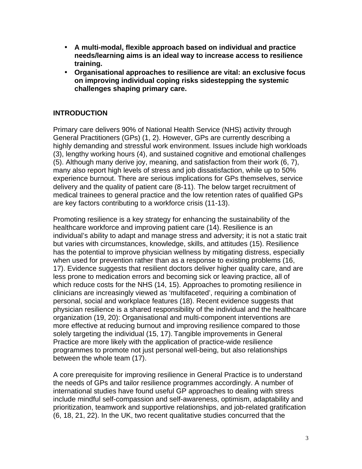- **A multi-modal, flexible approach based on individual and practice needs/learning aims is an ideal way to increase access to resilience training.**
- **Organisational approaches to resilience are vital: an exclusive focus on improving individual coping risks sidestepping the systemic challenges shaping primary care.**

## **INTRODUCTION**

Primary care delivers 90% of National Health Service (NHS) activity through General Practitioners (GPs) ([1](#page-13-0), [2\)](#page-13-1). However, GPs are currently describing a highly demanding and stressful work environment. Issues include high workloads ([3\)](#page-13-2), lengthy working hours [\(4](#page-13-3)), and sustained cognitive and emotional challenges ([5\)](#page-13-4). Although many derive joy, meaning, and satisfaction from their work ([6,](#page-13-5) [7\)](#page-13-6), many also report high levels of stress and job dissatisfaction, while up to 50% experience burnout. There are serious implications for GPs themselves, service delivery and the quality of patient care [\(8-11](#page-13-7)). The below target recruitment of medical trainees to general practice and the low retention rates of qualified GPs are key factors contributing to a workforce crisis ([11-13](#page-13-8)).

Promoting resilience is a key strategy for enhancing the sustainability of the healthcare workforce and improving patient care [\(14\)](#page-13-9). Resilience is an individual's ability to adapt and manage stress and adversity; it is not a static trait but varies with circumstances, knowledge, skills, and attitudes [\(15](#page-13-10)). Resilience has the potential to improve physician wellness by mitigating distress, especially when used for prevention rather than as a response to existing problems [\(16,](#page-13-11) [17](#page-13-12)). Evidence suggests that resilient doctors deliver higher quality care, and are less prone to medication errors and becoming sick or leaving practice, all of which reduce costs for the NHS [\(14,](#page-13-9) [15\)](#page-13-10). Approaches to promoting resilience in clinicians are increasingly viewed as 'multifaceted', requiring a combination of personal, social and workplace features [\(18](#page-13-13)). Recent evidence suggests that physician resilience is a shared responsibility of the individual and the healthcare organization ([19](#page-14-0), [20](#page-14-1)): Organisational and multi-component interventions are more effective at reducing burnout and improving resilience compared to those solely targeting the individual [\(15,](#page-13-10) [17\)](#page-13-12). Tangible improvements in General Practice are more likely with the application of practice-wide resilience programmes to promote not just personal well-being, but also relationships between the whole team [\(17\)](#page-13-12).

A core prerequisite for improving resilience in General Practice is to understand the needs of GPs and tailor resilience programmes accordingly. A number of international studies have found useful GP approaches to dealing with stress include mindful self-compassion and self-awareness, optimism, adaptability and prioritization, teamwork and supportive relationships, and job-related gratification ([6,](#page-13-5) [18,](#page-13-13) [21,](#page-14-2) [22\)](#page-14-3). In the UK, two recent qualitative studies concurred that the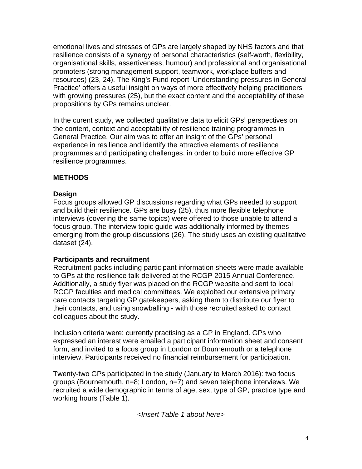emotional lives and stresses of GPs are largely shaped by NHS factors and that resilience consists of a synergy of personal characteristics (self-worth, flexibility, organisational skills, assertiveness, humour) and professional and organisational promoters (strong management support, teamwork, workplace buffers and resources) [\(23](#page-14-4), [24](#page-14-5)). The King's Fund report 'Understanding pressures in General Practice' offers a useful insight on ways of more effectively helping practitioners with growing pressures [\(25](#page-14-6)), but the exact content and the acceptability of these propositions by GPs remains unclear.

In the curent study, we collected qualitative data to elicit GPs' perspectives on the content, context and acceptability of resilience training programmes in General Practice. Our aim was to offer an insight of the GPs' personal experience in resilience and identify the attractive elements of resilience programmes and participating challenges, in order to build more effective GP resilience programmes.

#### **METHODS**

# **Design**

Focus groups allowed GP discussions regarding what GPs needed to support and build their resilience. GPs are busy [\(25](#page-14-6)), thus more flexible telephone interviews (covering the same topics) were offered to those unable to attend a focus group. The interview topic guide was additionally informed by themes emerging from the group discussions [\(26](#page-14-7)). The study uses an existing qualitative dataset ([24](#page-14-5)).

#### **Participants and recruitment**

Recruitment packs including participant information sheets were made available to GPs at the resilience talk delivered at the RCGP 2015 Annual Conference. Additionally, a study flyer was placed on the RCGP website and sent to local RCGP faculties and medical committees. We exploited our extensive primary care contacts targeting GP gatekeepers, asking them to distribute our flyer to their contacts, and using snowballing - with those recruited asked to contact colleagues about the study.

Inclusion criteria were: currently practising as a GP in England. GPs who expressed an interest were emailed a participant information sheet and consent form, and invited to a focus group in London or Bournemouth or a telephone interview. Participants received no financial reimbursement for participation.

Twenty-two GPs participated in the study (January to March 2016): two focus groups (Bournemouth, n=8; London, n=7) and seven telephone interviews. We recruited a wide demographic in terms of age, sex, type of GP, practice type and working hours (Table 1).

*<Insert Table 1 about here>*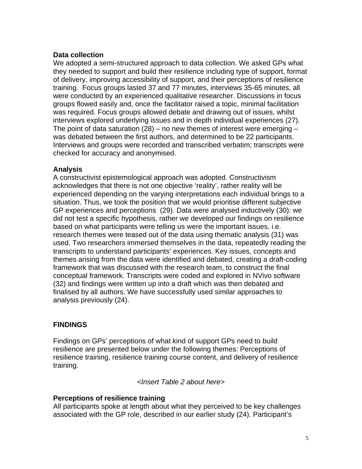## **Data collection**

We adopted a semi-structured approach to data collection. We asked GPs what they needed to support and build their resilience including type of support, format of delivery, improving accessibility of support, and their perceptions of resilience training. Focus groups lasted 37 and 77 minutes, interviews 35-65 minutes, all were conducted by an experienced qualitative researcher. Discussions in focus groups flowed easily and, once the facilitator raised a topic, minimal facilitation was required. Focus groups allowed debate and drawing out of issues, whilst interviews explored underlying issues and in depth individual experiences ([27](#page-14-8)). The point of data saturation [\(28\)](#page-14-9) – no new themes of interest were emerging  $$ was debated between the first authors, and determined to be 22 participants. Interviews and groups were recorded and transcribed verbatim; transcripts were checked for accuracy and anonymised.

#### **Analysis**

A constructivist epistemological approach was adopted. Constructivism acknowledges that there is not one objective 'reality', rather reality will be experienced depending on the varying interpretations each individual brings to a situation. Thus, we took the position that we would prioritise different subjective GP experiences and perceptions ([29](#page-14-10)). Data were analysed inductively ([30\)](#page-14-11): we did not test a specific hypothesis, rather we developed our findings on resilience based on what participants were telling us were the important issues, i.e. research themes were teased out of the data using thematic analysis ([31](#page-14-12)) was used. Two researchers immersed themselves in the data, repeatedly reading the transcripts to understand participants' experiences. Key issues, concepts and themes arising from the data were identified and debated, creating a draft-coding framework that was discussed with the research team, to construct the final conceptual framework. Transcripts were coded and explored in NVivo software ([32](#page-14-13)) and findings were written up into a draft which was then debated and finalised by all authors. We have successfully used similar approaches to analysis previously [\(24](#page-14-5)).

# **FINDINGS**

Findings on GPs' perceptions of what kind of support GPs need to build resilience are presented below under the following themes: Perceptions of resilience training, resilience training course content, and delivery of resilience training.

*<Insert Table 2 about here>*

#### **Perceptions of resilience training**

All participants spoke at length about what they perceived to be key challenges associated with the GP role, described in our earlier study [\(24\)](#page-14-5). Participant's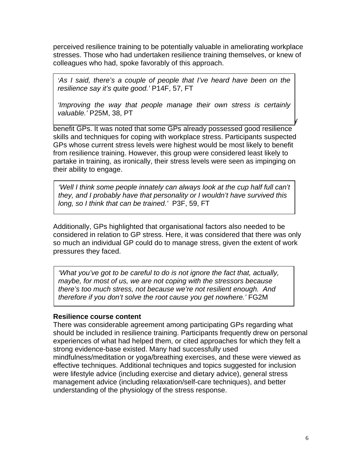perceived resilience training to be potentially valuable in ameliorating workplace stresses. Those who had undertaken resilience training themselves, or knew of colleagues who had, spoke favorably of this approach.

*'As I said, there's a couple of people that I've heard have been on the resilience say it's quite good.'* P14F, 57, FT

*'Improving the way that people manage their own stress is certainly valuable.'* P25M, 38, PT

 $\mathcal Y$ 

benefit GPs. It was noted that some GPs already possessed good resilience skills and techniques for coping with workplace stress. Participants suspected GPs whose current stress levels were highest would be most likely to benefit from resilience training. However, this group were considered least likely to partake in training, as ironically, their stress levels were seen as impinging on their ability to engage.

*'Well I think some people innately can always look at the cup half full can't they, and I probably have that personality or I wouldn't have survived this long, so I think that can be trained.'* P3F, 59, FT

Additionally, GPs highlighted that organisational factors also needed to be considered in relation to GP stress. Here, it was considered that there was only so much an individual GP could do to manage stress, given the extent of work pressures they faced.

*'What you've got to be careful to do is not ignore the fact that, actually, maybe, for most of us, we are not coping with the stressors because there's too much stress, not because we're not resilient enough. And therefore if you don't solve the root cause you get nowhere.'* FG2M

#### **Resilience course content**

There was considerable agreement among participating GPs regarding what should be included in resilience training. Participants frequently drew on personal experiences of what had helped them, or cited approaches for which they felt a strong evidence-base existed. Many had successfully used mindfulness/meditation or yoga/breathing exercises, and these were viewed as effective techniques. Additional techniques and topics suggested for inclusion were lifestyle advice (including exercise and dietary advice), general stress management advice (including relaxation/self-care techniques), and better understanding of the physiology of the stress response.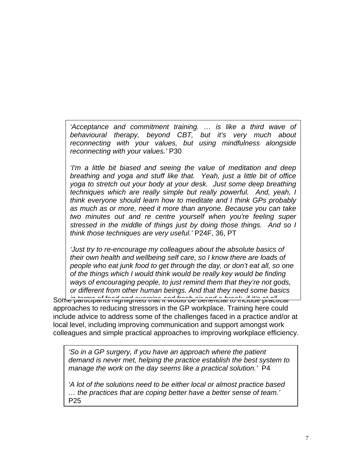*'Acceptance and commitment training. … is like a third wave of behavioural therapy, beyond CBT, but it's very much about reconnecting with your values, but using mindfulness alongside reconnecting with your values.'* P30

*'I'm a little bit biased and seeing the value of meditation and deep breathing and yoga and stuff like that. Yeah, just a little bit of office yoga to stretch out your body at your desk. Just some deep breathing techniques which are really simple but really powerful. And, yeah, I think everyone should learn how to meditate and I think GPs probably as much as or more, need it more than anyone. Because you can take two minutes out and re centre yourself when you're feeling super stressed in the middle of things just by doing those things. And so I think those techniques are very useful.'* P24F, 36, PT

*'Just try to re-encourage my colleagues about the absolute basics of their own health and wellbeing self care, so I know there are loads of people who eat junk food to get through the day, or don't eat all, so one of the things which I would think would be really key would be finding ways of encouraging people, to just remind them that they're not gods, or different from other human beings. And that they need some basics* 

Some participants highlighted that it would be beneficial to include practical *in terms of food and exercise and fresh air and a break, if it's at all*  approaches to reducing stressors in the GP workplace. Training here could include advice to address some of the challenges faced in a practice and/or at local level, including improving communication and support amongst work colleagues and simple practical approaches to improving workplace efficiency.

*'So in a GP surgery, if you have an approach where the patient demand is never met, helping the practice establish the best system to manage the work on the day seems like a practical solution.'* P4

*'A lot of the solutions need to be either local or almost practice based … the practices that are coping better have a better sense of team.'* P25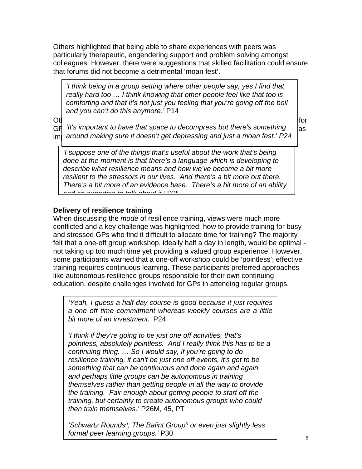Others highlighted that being able to share experiences with peers was particularly therapeutic, engendering support and problem solving amongst colleagues. However, there were suggestions that skilled facilitation could ensure that forums did not become a detrimental 'moan fest'.

*'I think being in a group setting where other people say, yes I find that really hard too … I think knowing that other people feel like that too is comforting and that it's not just you feeling that you're going off the boil and you can't do this anymore.'* P14

 $\mathsf{O}\mathsf{t}$  for  $\mathsf{I}$ GF 'It's important to have that space to decompress but there's something  $\mid$ <sub>as</sub>  $\left| \right.$  around making sure it doesn't get depressing and just a moan fest.' P24

*'I suppose one of the things that's useful about the work that's being done at the moment is that there's a language which is developing to describe what resilience means and how we've become a bit more resilient to the stressors in our lives. And there's a bit more out there. There's a bit more of an evidence base. There's a bit more of an ability and an expertise to talk about it.'* P25

# **Delivery of resilience training**

When discussing the *mode* of resilience training, views were much more conflicted and a key challenge was highlighted: how to provide training for busy and stressed GPs who find it difficult to allocate time for training? The majority felt that a one-off group workshop, ideally half a day in length, would be optimal not taking up too much time yet providing a valued group experience. However, some participants warned that a one-off workshop could be 'pointless'; effective training requires continuous learning. These participants preferred approaches like autonomous resilience groups responsible for their own continuing education, despite challenges involved for GPs in attending regular groups.

*'Yeah, I guess a half day course is good because it just requires a one off time commitment whereas weekly courses are a little bit more of an investment.'* P24

*'I think if they're going to be just one off activities, that's pointless, absolutely pointless. And I really think this has to be a continuing thing. … So I would say, if you're going to do resilience training, it can't be just one off events, it's got to be something that can be continuous and done again and again, and perhaps little groups can be autonomous in training themselves rather than getting people in all the way to provide the training. Fair enough about getting people to start off the training, but certainly to create autonomous groups who could then train themselves.'* P26M, 45, PT

*'Schwartz Rounds<sup>a</sup> , The Balint Group<sup>b</sup> or even just slightly less formal peer learning groups.'* P30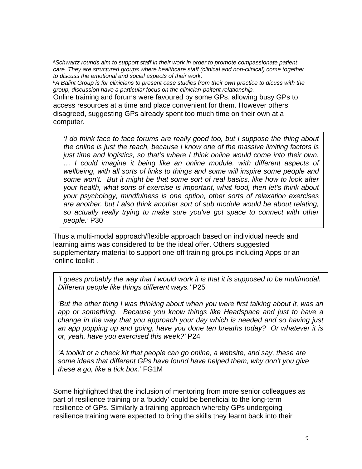*<sup>a</sup>Schwartz rounds aim to support staff in their work in order to promote compassionate patient care. They are structured groups where healthcare staff (clinical and non-clinical) come together to discuss the emotional and social aspects of their work.*

*<sup>b</sup>A Balint Group is for clinicians to present case studies from their own practice to dicuss with the group, discussion have a particular focus on the clinician-paitent relationship.*

Online training and forums were favoured by some GPs, allowing busy GPs to access resources at a time and place convenient for them. However others disagreed, suggesting GPs already spent too much time on their own at a computer.

*'I do think face to face forums are really good too, but I suppose the thing about the online is just the reach, because I know one of the massive limiting factors is just time and logistics, so that's where I think online would come into their own. … I could imagine it being like an online module, with different aspects of wellbeing, with all sorts of links to things and some will inspire some people and some won't. But it might be that some sort of real basics, like how to look after your health, what sorts of exercise is important, what food, then let's think about your psychology, mindfulness is one option, other sorts of relaxation exercises are another, but I also think another sort of sub module would be about relating, so actually really trying to make sure you've got space to connect with other people.'* P30

Thus a multi-modal approach/flexible approach based on individual needs and learning aims was considered to be the ideal offer. Others suggested supplementary material to support one-off training groups including Apps or an 'online toolkit .

*'I guess probably the way that I would work it is that it is supposed to be multimodal. Different people like things different ways.'* P25

*'But the other thing I was thinking about when you were first talking about it, was an app or something. Because you know things like Headspace and just to have a change in the way that you approach your day which is needed and so having just an app popping up and going, have you done ten breaths today? Or whatever it is or, yeah, have you exercised this week?'* P24

*'A toolkit or a check kit that people can go online, a website, and say, these are some ideas that different GPs have found have helped them, why don't you give these a go, like a tick box.'* FG1M

Some highlighted that the inclusion of mentoring from more senior colleagues as part of resilience training or a 'buddy' could be beneficial to the long-term resilience of GPs. Similarly a training approach whereby GPs undergoing resilience training were expected to bring the skills they learnt back into their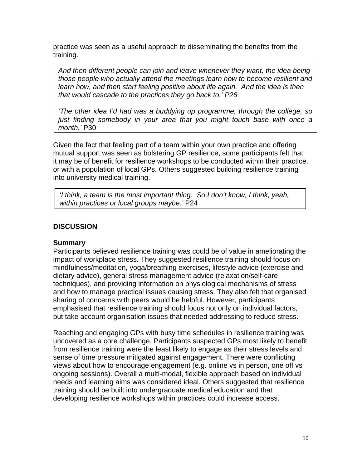practice was seen as a useful approach to disseminating the benefits from the training.

*And then different people can join and leave whenever they want, the idea being those people who actually attend the meetings learn how to become resilient and learn how, and then start feeling positive about life again. And the idea is then that would cascade to the practices they go back to.' P26*

*'The other idea I'd had was a buddying up programme, through the college, so just finding somebody in your area that you might touch base with once a month.'* P30

Given the fact that feeling part of a team within your own practice and offering mutual support was seen as bolstering GP resilience, some participants felt that it may be of benefit for resilience workshops to be conducted within their practice, or with a population of local GPs. Others suggested building resilience training into university medical training.

*'I think, a team is the most important thing. So I don't know, I think, yeah, within practices or local groups maybe.'* P24

#### **DISCUSSION**

#### **Summary**

Participants believed resilience training was could be of value in ameliorating the impact of workplace stress. They suggested resilience training should focus on mindfulness/meditation, yoga/breathing exercises, lifestyle advice (exercise and dietary advice), general stress management advice (relaxation/self-care techniques), and providing information on physiological mechanisms of stress and how to manage practical issues causing stress. They also felt that organised sharing of concerns with peers would be helpful. However, participants emphasised that resilience training should focus not only on individual factors, but take account organisation issues that needed addressing to reduce stress.

Reaching and engaging GPs with busy time schedules in resilience training was uncovered as a core challenge. Participants suspected GPs most likely to benefit from resilience training were the least likely to engage as their stress levels and sense of time pressure mitigated against engagement. There were conflicting views about how to encourage engagement (e.g. online vs in person, one off vs ongoing sessions). Overall a multi-modal, flexible approach based on individual needs and learning aims was considered ideal. Others suggested that resilience training should be built into undergraduate medical education and that developing resilience workshops within practices could increase access.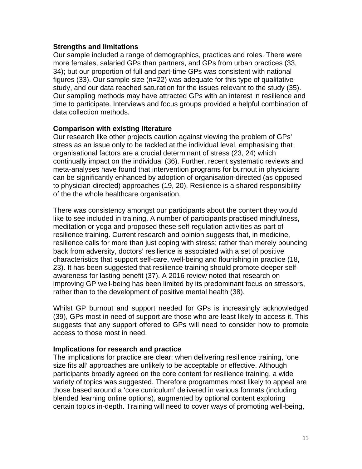#### **Strengths and limitations**

Our sample included a range of demographics, practices and roles. There were more females, salaried GPs than partners, and GPs from urban practices ([33,](#page-14-14) [34](#page-14-15)); but our proportion of full and part-time GPs was consistent with national figures [\(33\)](#page-14-14). Our sample size (n=22) was adequate for this type of qualitative study, and our data reached saturation for the issues relevant to the study ([35](#page-14-16)). Our sampling methods may have attracted GPs with an interest in resilience and time to participate. Interviews and focus groups provided a helpful combination of data collection methods.

#### **Comparison with existing literature**

Our research like other projects caution against viewing the problem of GPs' stress as an issue only to be tackled at the individual level, emphasising that organisational factors are a crucial determinant of stress [\(23,](#page-14-4) [24\)](#page-14-5) which continually impact on the individual ([36](#page-14-17)). Further, recent systematic reviews and meta-analyses have found that intervention programs for burnout in physicians can be significantly enhanced by adoption of organisation-directed (as opposed to physician-directed) approaches [\(19,](#page-14-0) [20\)](#page-14-1). Resilence is a shared responsibility of the the whole healthcare organisation.

There was consistency amongst our participants about the content they would like to see included in training. A number of participants practised mindfulness, meditation or yoga and proposed these self-regulation activities as part of resilience training. Current research and opinion suggests that, in medicine, resilience calls for more than just coping with stress; rather than merely bouncing back from adversity, doctors' resilience is associated with a set of positive characteristics that support self-care, well-being and flourishing in practice [\(18,](#page-13-13) [23](#page-14-4)). It has been suggested that resilience training should promote deeper selfawareness for lasting benefit [\(37](#page-14-18)). A 2016 review noted that research on improving GP well-being has been limited by its predominant focus on stressors, rather than to the development of positive mental health ([38\)](#page-14-19).

Whilst GP burnout and support needed for GPs is increasingly acknowledged ([39](#page-14-20)), GPs most in need of support are those who are least likely to access it. This suggests that any support offered to GPs will need to consider how to promote access to those most in need.

#### **Implications for research and practice**

The implications for practice are clear: when delivering resilience training, 'one size fits all' approaches are unlikely to be acceptable or effective. Although participants broadly agreed on the core content for resilience training, a wide variety of topics was suggested. Therefore programmes most likely to appeal are those based around a 'core curriculum' delivered in various formats (including blended learning online options), augmented by optional content exploring certain topics in-depth. Training will need to cover ways of promoting well-being,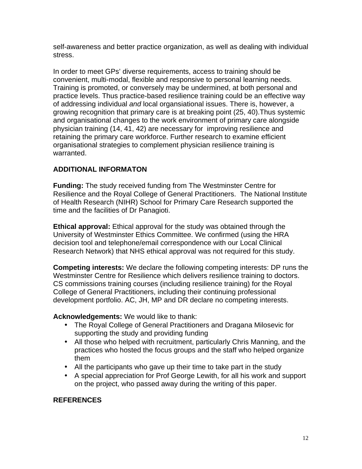self-awareness and better practice organization, as well as dealing with individual stress.

In order to meet GPs' diverse requirements, access to training should be convenient, multi-modal, flexible and responsive to personal learning needs. Training is promoted, or conversely may be undermined, at both personal and practice levels. Thus practice-based resilience training could be an effective way of addressing individual *and* local organsiational issues. There is, however, a growing recognition that primary care is at breaking point ([25](#page-14-6), [40](#page-15-0)).Thus systemic and organisational changes to the work environment of primary care alongside physician training [\(14](#page-13-9), [41](#page-15-1), [42](#page-15-2)) are necessary for improving resilience and retaining the primary care workforce. Further research to examine efficient organisational strategies to complement physician resilience training is warranted.

# **ADDITIONAL INFORMATON**

**Funding:** The study received funding from The Westminster Centre for Resilience and the Royal College of General Practitioners. The National Institute of Health Research (NIHR) School for Primary Care Research supported the time and the facilities of Dr Panagioti.

**Ethical approval:** Ethical approval for the study was obtained through the University of Westminster Ethics Committee. We confirmed (using the HRA decision tool and telephone/email correspondence with our Local Clinical Research Network) that NHS ethical approval was not required for this study.

**Competing interests:** We declare the following competing interests: DP runs the Westminster Centre for Resilience which delivers resilience training to doctors. CS commissions training courses (including resilience training) for the Royal College of General Practitioners, including their continuing professional development portfolio. AC, JH, MP and DR declare no competing interests.

#### **Acknowledgements:** We would like to thank:

- The Royal College of General Practitioners and Dragana Milosevic for supporting the study and providing funding
- All those who helped with recruitment, particularly Chris Manning, and the practices who hosted the focus groups and the staff who helped organize them
- All the participants who gave up their time to take part in the study
- A special appreciation for Prof George Lewith, for all his work and support on the project, who passed away during the writing of this paper.

#### **REFERENCES**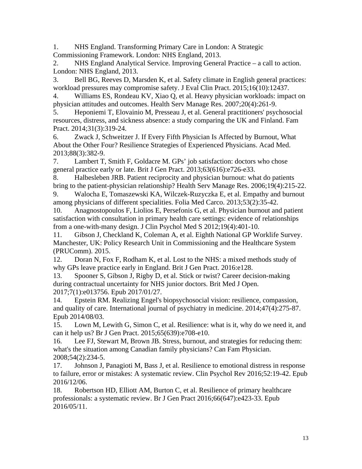<span id="page-13-0"></span>1. NHS England. Transforming Primary Care in London: A Strategic Commissioning Framework. London: NHS England, 2013.

<span id="page-13-1"></span>2. NHS England Analytical Service. Improving General Practice – a call to action. London: NHS England, 2013.

<span id="page-13-2"></span>3. Bell BG, Reeves D, Marsden K, et al. Safety climate in English general practices: workload pressures may compromise safety. J Eval Clin Pract. 2015;16(10):12437.

<span id="page-13-3"></span>4. Williams ES, Rondeau KV, Xiao Q, et al. Heavy physician workloads: impact on physician attitudes and outcomes. Health Serv Manage Res. 2007;20(4):261-9.

<span id="page-13-4"></span>5. Heponiemi T, Elovainio M, Presseau J, et al. General practitioners' psychosocial resources, distress, and sickness absence: a study comparing the UK and Finland. Fam Pract. 2014;31(3):319-24.

<span id="page-13-5"></span>6. Zwack J, Schweitzer J. If Every Fifth Physician Is Affected by Burnout, What About the Other Four? Resilience Strategies of Experienced Physicians. Acad Med. 2013;88(3):382-9.

<span id="page-13-6"></span>7. Lambert T, Smith F, Goldacre M. GPs' job satisfaction: doctors who chose general practice early or late. Brit J Gen Pract. 2013;63(616):e726-e33.

<span id="page-13-7"></span>8. Halbesleben JRB. Patient reciprocity and physician burnout: what do patients bring to the patient-physician relationship? Health Serv Manage Res. 2006;19(4):215-22.

9. Walocha E, Tomaszewski KA, Wilczek-Ruzyczka E, et al. Empathy and burnout among physicians of different specialities. Folia Med Carco. 2013;53(2):35-42.

10. Anagnostopoulos F, Liolios E, Persefonis G, et al. Physician burnout and patient satisfaction with consultation in primary health care settings: evidence of relationships from a one-with-many design. J Clin Psychol Med S 2012;19(4):401-10.

<span id="page-13-8"></span>11. Gibson J, Checkland K, Coleman A, et al. Eighth National GP Worklife Survey. Manchester, UK: Policy Research Unit in Commissioning and the Healthcare System (PRUComm). 2015.

12. Doran N, Fox F, Rodham K, et al. Lost to the NHS: a mixed methods study of why GPs leave practice early in England. Brit J Gen Pract. 2016:e128.

13. Spooner S, Gibson J, Rigby D, et al. Stick or twist? Career decision-making during contractual uncertainty for NHS junior doctors. Brit Med J Open. 2017;7(1):e013756. Epub 2017/01/27.

<span id="page-13-9"></span>14. Epstein RM. Realizing Engel's biopsychosocial vision: resilience, compassion, and quality of care. International journal of psychiatry in medicine. 2014;47(4):275-87. Epub 2014/08/03.

<span id="page-13-10"></span>15. Lown M, Lewith G, Simon C, et al. Resilience: what is it, why do we need it, and can it help us? Br J Gen Pract. 2015;65(639):e708-e10.

<span id="page-13-11"></span>16. Lee FJ, Stewart M, Brown JB. Stress, burnout, and strategies for reducing them: what's the situation among Canadian family physicians? Can Fam Physician. 2008;54(2):234-5.

<span id="page-13-12"></span>17. Johnson J, Panagioti M, Bass J, et al. Resilience to emotional distress in response to failure, error or mistakes: A systematic review. Clin Psychol Rev 2016;52:19-42. Epub 2016/12/06.

<span id="page-13-13"></span>18. Robertson HD, Elliott AM, Burton C, et al. Resilience of primary healthcare professionals: a systematic review. Br J Gen Pract 2016;66(647):e423-33. Epub 2016/05/11.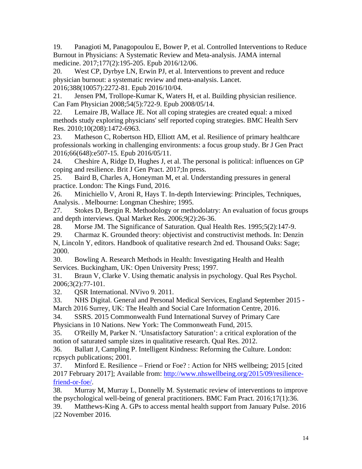<span id="page-14-0"></span>19. Panagioti M, Panagopoulou E, Bower P, et al. Controlled Interventions to Reduce Burnout in Physicians: A Systematic Review and Meta-analysis. JAMA internal medicine. 2017;177(2):195-205. Epub 2016/12/06.

<span id="page-14-1"></span>20. West CP, Dyrbye LN, Erwin PJ, et al. Interventions to prevent and reduce physician burnout: a systematic review and meta-analysis. Lancet. 2016;388(10057):2272-81. Epub 2016/10/04.

<span id="page-14-2"></span>21. Jensen PM, Trollope-Kumar K, Waters H, et al. Building physician resilience. Can Fam Physician 2008;54(5):722-9. Epub 2008/05/14.

<span id="page-14-3"></span>22. Lemaire JB, Wallace JE. Not all coping strategies are created equal: a mixed methods study exploring physicians' self reported coping strategies. BMC Health Serv Res. 2010;10(208):1472-6963.

<span id="page-14-4"></span>23. Matheson C, Robertson HD, Elliott AM, et al. Resilience of primary healthcare professionals working in challenging environments: a focus group study. Br J Gen Pract 2016;66(648):e507-15. Epub 2016/05/11.

<span id="page-14-5"></span>24. Cheshire A, Ridge D, Hughes J, et al. The personal is political: influences on GP coping and resilience. Brit J Gen Pract. 2017;In press.

<span id="page-14-6"></span>25. Baird B, Charles A, Honeyman M, et al. Understanding pressures in general practice. London: The Kings Fund, 2016.

<span id="page-14-7"></span>26. Minichiello V, Aroni R, Hays T. In-depth Interviewing: Principles, Techniques, Analysis. . Melbourne: Longman Cheshire; 1995.

<span id="page-14-8"></span>27. Stokes D, Bergin R. Methodology or methodolatry: An evaluation of focus groups and depth interviews. Qual Market Res. 2006;9(2):26-36.

<span id="page-14-9"></span>28. Morse JM. The Significance of Saturation. Qual Health Res. 1995;5(2):147-9.

<span id="page-14-10"></span>29. Charmaz K. Grounded theory: objectivist and constructivist methods. In: Denzin N, Lincoln Y, editors. Handbook of qualitative research 2nd ed. Thousand Oaks: Sage; 2000.

<span id="page-14-11"></span>30. Bowling A. Research Methods in Health: Investigating Health and Health Services. Buckingham, UK: Open University Press; 1997.

<span id="page-14-12"></span>31. Braun V, Clarke V. Using thematic analysis in psychology. Qual Res Psychol. 2006;3(2):77-101.

<span id="page-14-13"></span>32. QSR International. NVivo 9. 2011.

<span id="page-14-14"></span>33. NHS Digital. General and Personal Medical Services, England September 2015 - March 2016 Surrey, UK: The Health and Social Care Information Centre, 2016.

<span id="page-14-15"></span>34. SSRS. 2015 Commonwealth Fund International Survey of Primary Care Physicians in 10 Nations. New York: The Commonweath Fund, 2015.

<span id="page-14-16"></span>35. O'Reilly M, Parker N. 'Unsatisfactory Saturation': a critical exploration of the notion of saturated sample sizes in qualitative research. Qual Res. 2012.

<span id="page-14-17"></span>36. Ballatt J, Campling P. Intelligent Kindness: Reforming the Culture. London: rcpsych publications; 2001.

<span id="page-14-18"></span>37. Minford E. Resilience – Friend or Foe? : Action for NHS wellbeing; 2015 [cited 2017 February 2017]; Available from: [http://www.nhswellbeing.org/2015/09/resilience](http://www.nhswellbeing.org/2015/09/resilience-friend-or-foe/)[friend-or-foe/](http://www.nhswellbeing.org/2015/09/resilience-friend-or-foe/).

<span id="page-14-19"></span>38. Murray M, Murray L, Donnelly M. Systematic review of interventions to improve the psychological well-being of general practitioners. BMC Fam Pract. 2016;17(1):36.

<span id="page-14-20"></span>39. Matthews-King A. GPs to access mental health support from January Pulse. 2016 |22 November 2016.